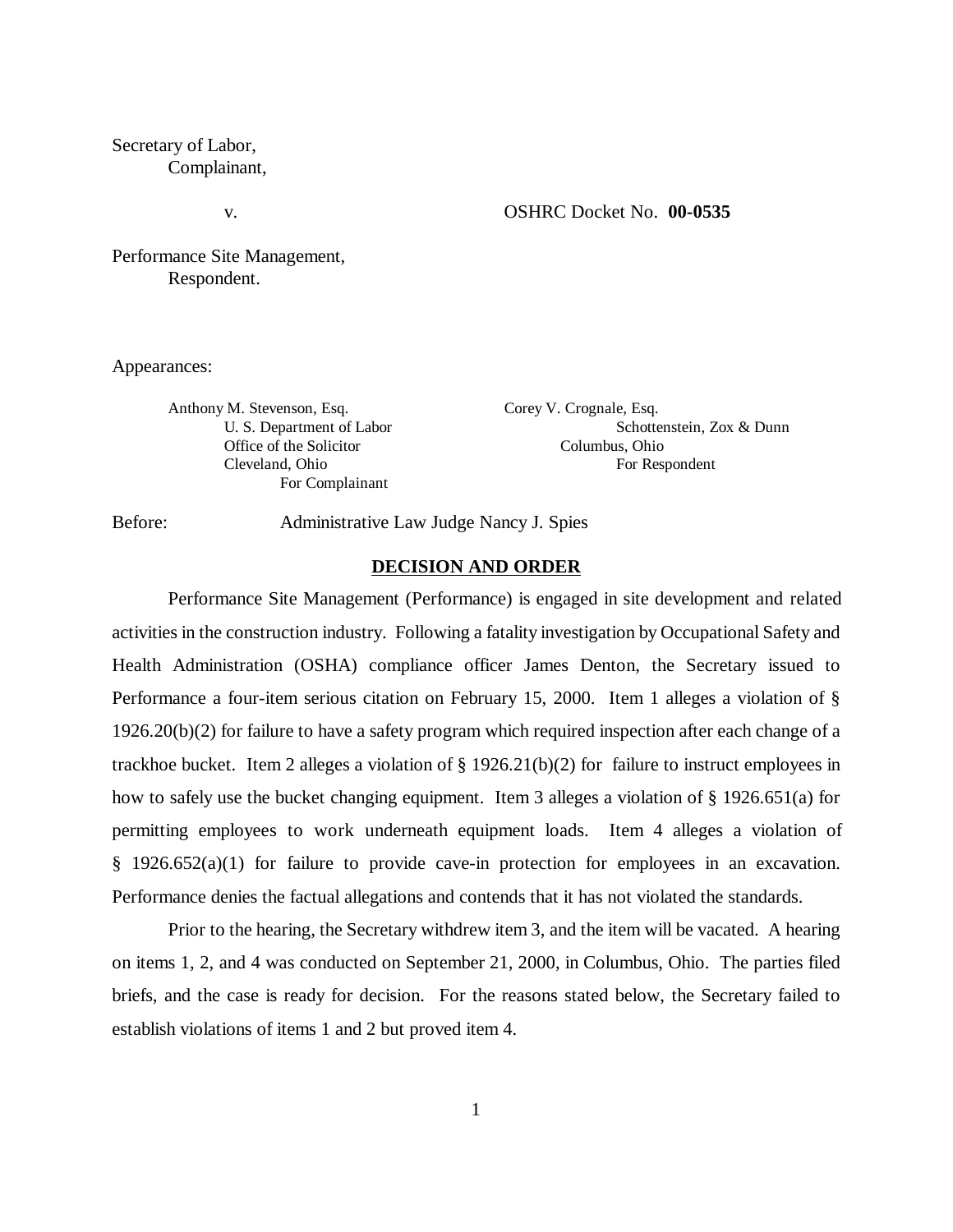# Secretary of Labor, Complainant,

## v. OSHRC Docket No. **00-0535**

Performance Site Management, Respondent.

Appearances:

Anthony M. Stevenson, Esq. Corey V. Crognale, Esq. Office of the Solicitor Columbus, Ohio For Complainant

U. S. Department of Labor Schottenstein, Zox & Dunn Cleveland, Ohio For Respondent

Before: Administrative Law Judge Nancy J. Spies

#### **DECISION AND ORDER**

Performance Site Management (Performance) is engaged in site development and related activities in the construction industry. Following a fatality investigation by Occupational Safety and Health Administration (OSHA) compliance officer James Denton, the Secretary issued to Performance a four-item serious citation on February 15, 2000. Item 1 alleges a violation of § 1926.20(b)(2) for failure to have a safety program which required inspection after each change of a trackhoe bucket. Item 2 alleges a violation of § 1926.21(b)(2) for failure to instruct employees in how to safely use the bucket changing equipment. Item 3 alleges a violation of § 1926.651(a) for permitting employees to work underneath equipment loads. Item 4 alleges a violation of § 1926.652(a)(1) for failure to provide cave-in protection for employees in an excavation. Performance denies the factual allegations and contends that it has not violated the standards.

Prior to the hearing, the Secretary withdrew item 3, and the item will be vacated. A hearing on items 1, 2, and 4 was conducted on September 21, 2000, in Columbus, Ohio. The parties filed briefs, and the case is ready for decision. For the reasons stated below, the Secretary failed to establish violations of items 1 and 2 but proved item 4.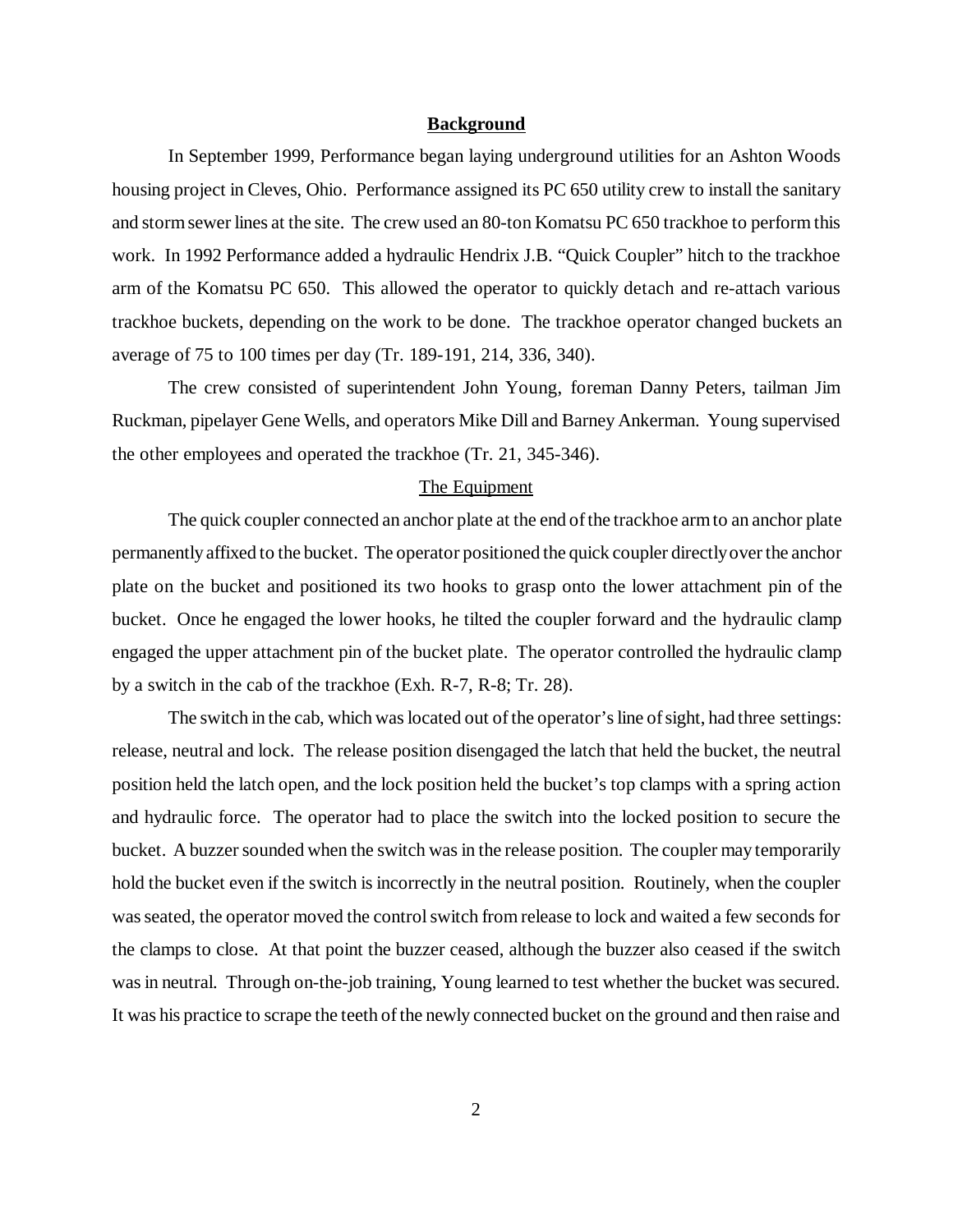#### **Background**

In September 1999, Performance began laying underground utilities for an Ashton Woods housing project in Cleves, Ohio. Performance assigned its PC 650 utility crew to install the sanitary and storm sewer lines at the site. The crew used an 80-ton Komatsu PC 650 trackhoe to perform this work. In 1992 Performance added a hydraulic Hendrix J.B. "Quick Coupler" hitch to the trackhoe arm of the Komatsu PC 650. This allowed the operator to quickly detach and re-attach various trackhoe buckets, depending on the work to be done. The trackhoe operator changed buckets an average of 75 to 100 times per day (Tr. 189-191, 214, 336, 340).

The crew consisted of superintendent John Young, foreman Danny Peters, tailman Jim Ruckman, pipelayer Gene Wells, and operators Mike Dill and Barney Ankerman. Young supervised the other employees and operated the trackhoe (Tr. 21, 345-346).

## The Equipment

The quick coupler connected an anchor plate at the end of the trackhoe arm to an anchor plate permanently affixed to the bucket. The operator positioned the quick coupler directly over the anchor plate on the bucket and positioned its two hooks to grasp onto the lower attachment pin of the bucket. Once he engaged the lower hooks, he tilted the coupler forward and the hydraulic clamp engaged the upper attachment pin of the bucket plate. The operator controlled the hydraulic clamp by a switch in the cab of the trackhoe (Exh. R-7, R-8; Tr. 28).

 The switch in the cab, which was located out of the operator's line of sight, had three settings: release, neutral and lock. The release position disengaged the latch that held the bucket, the neutral position held the latch open, and the lock position held the bucket's top clamps with a spring action and hydraulic force. The operator had to place the switch into the locked position to secure the bucket. A buzzer sounded when the switch was in the release position. The coupler may temporarily hold the bucket even if the switch is incorrectly in the neutral position. Routinely, when the coupler was seated, the operator moved the control switch from release to lock and waited a few seconds for the clamps to close. At that point the buzzer ceased, although the buzzer also ceased if the switch was in neutral. Through on-the-job training, Young learned to test whether the bucket was secured. It was his practice to scrape the teeth of the newly connected bucket on the ground and then raise and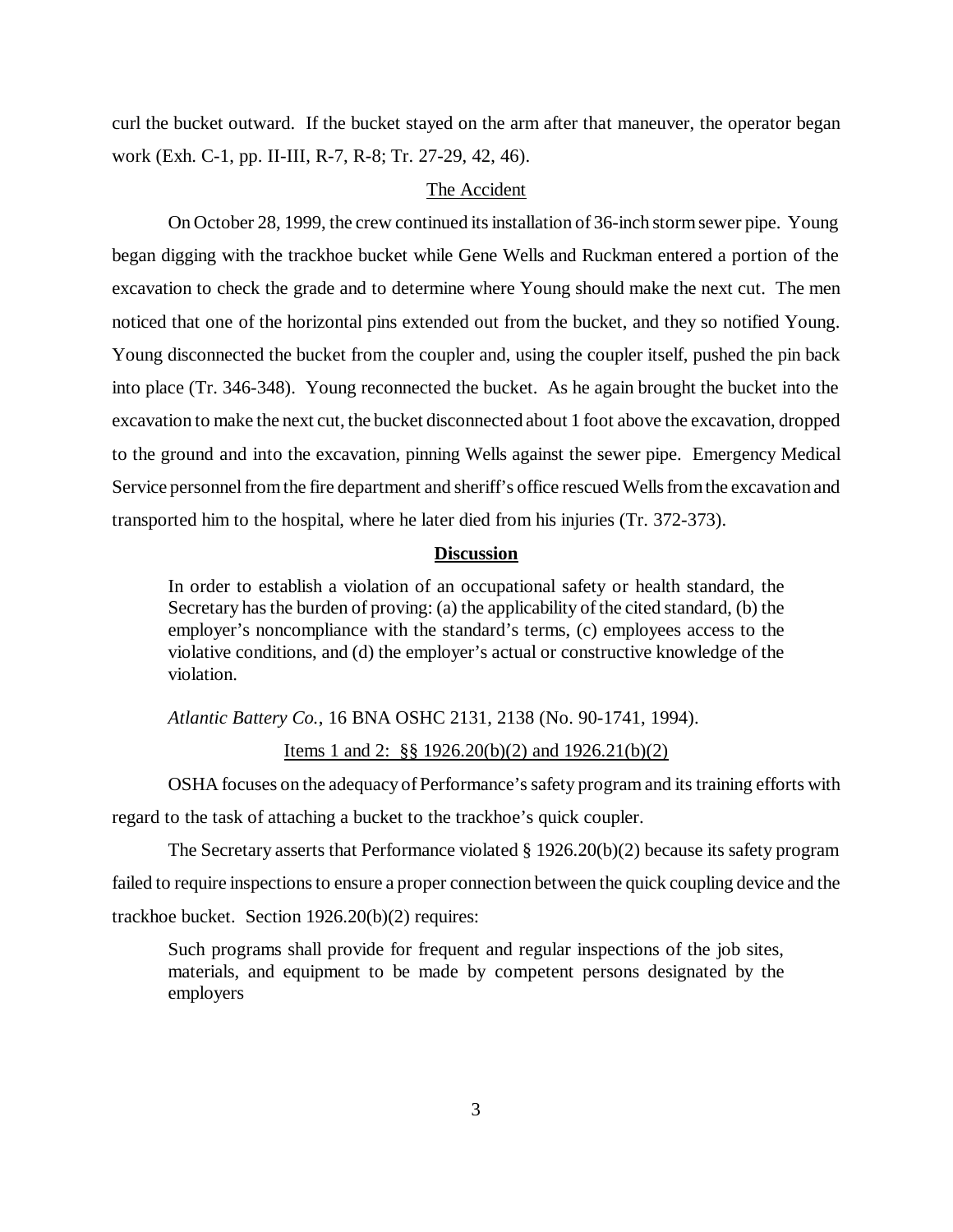curl the bucket outward. If the bucket stayed on the arm after that maneuver, the operator began work (Exh. C-1, pp. II-III, R-7, R-8; Tr. 27-29, 42, 46).

## The Accident

On October 28, 1999, the crew continued its installation of 36-inch storm sewer pipe. Young began digging with the trackhoe bucket while Gene Wells and Ruckman entered a portion of the excavation to check the grade and to determine where Young should make the next cut. The men noticed that one of the horizontal pins extended out from the bucket, and they so notified Young. Young disconnected the bucket from the coupler and, using the coupler itself, pushed the pin back into place (Tr. 346-348). Young reconnected the bucket. As he again brought the bucket into the excavation to make the next cut, the bucket disconnected about 1 foot above the excavation, dropped to the ground and into the excavation, pinning Wells against the sewer pipe. Emergency Medical Service personnel from the fire department and sheriff's office rescued Wells from the excavation and transported him to the hospital, where he later died from his injuries (Tr. 372-373).

### **Discussion**

In order to establish a violation of an occupational safety or health standard, the Secretary has the burden of proving: (a) the applicability of the cited standard, (b) the employer's noncompliance with the standard's terms, (c) employees access to the violative conditions, and (d) the employer's actual or constructive knowledge of the violation.

*Atlantic Battery Co.*, 16 BNA OSHC 2131, 2138 (No. 90-1741, 1994).

## Items 1 and 2: §§ 1926.20(b)(2) and 1926.21(b)(2)

OSHA focuses on the adequacy of Performance's safety program and its training efforts with regard to the task of attaching a bucket to the trackhoe's quick coupler.

The Secretary asserts that Performance violated § 1926.20(b)(2) because its safety program failed to require inspections to ensure a proper connection between the quick coupling device and the trackhoe bucket. Section 1926.20(b)(2) requires:

Such programs shall provide for frequent and regular inspections of the job sites, materials, and equipment to be made by competent persons designated by the employers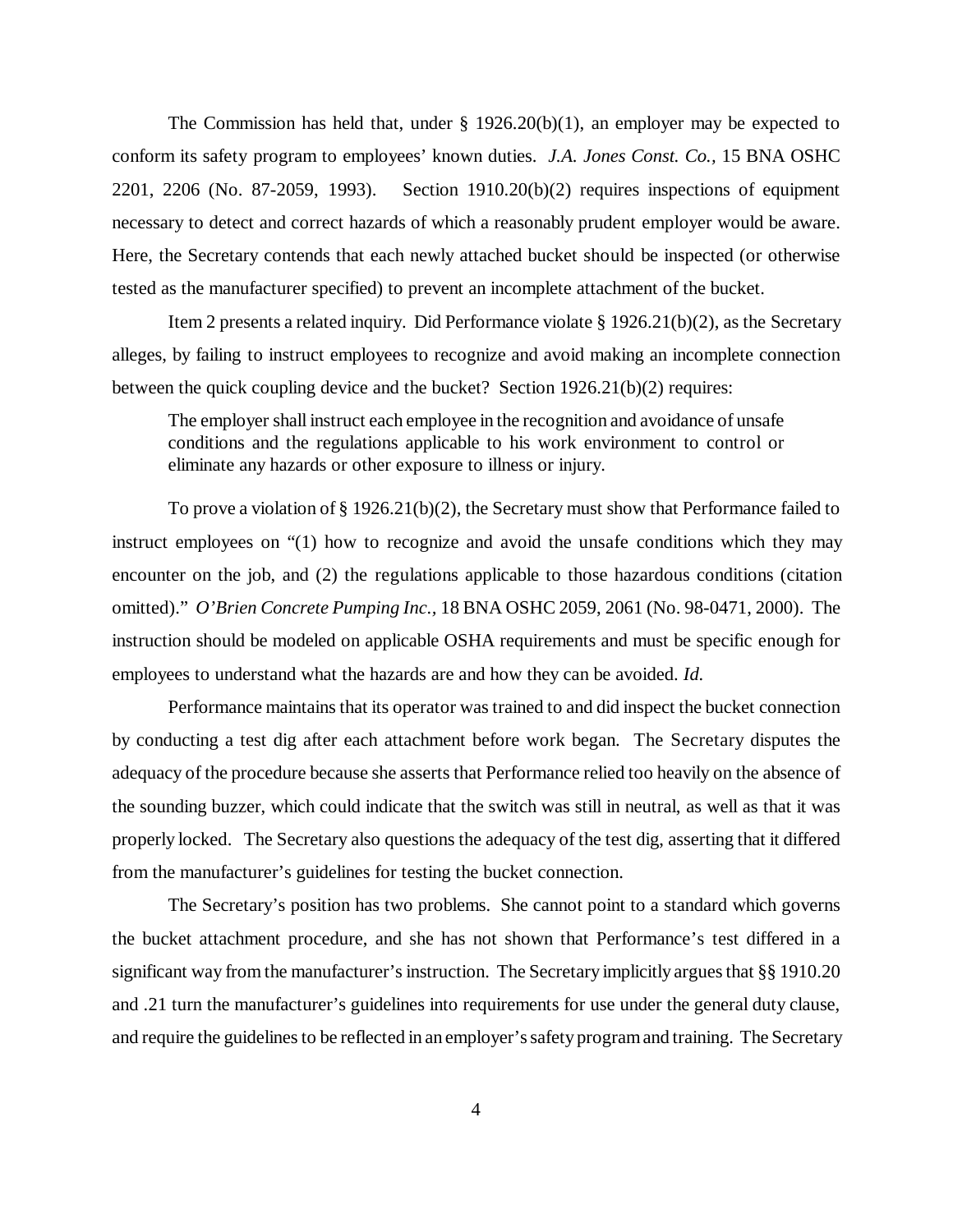The Commission has held that, under  $\S$  1926.20(b)(1), an employer may be expected to conform its safety program to employees' known duties. *J.A. Jones Const. Co.,* 15 BNA OSHC 2201, 2206 (No. 87-2059, 1993). Section 1910.20(b)(2) requires inspections of equipment necessary to detect and correct hazards of which a reasonably prudent employer would be aware. Here, the Secretary contends that each newly attached bucket should be inspected (or otherwise tested as the manufacturer specified) to prevent an incomplete attachment of the bucket.

 Item 2 presents a related inquiry. Did Performance violate § 1926.21(b)(2), as the Secretary alleges, by failing to instruct employees to recognize and avoid making an incomplete connection between the quick coupling device and the bucket? Section 1926.21(b)(2) requires:

The employer shall instruct each employee in the recognition and avoidance of unsafe conditions and the regulations applicable to his work environment to control or eliminate any hazards or other exposure to illness or injury.

To prove a violation of § 1926.21(b)(2), the Secretary must show that Performance failed to instruct employees on "(1) how to recognize and avoid the unsafe conditions which they may encounter on the job, and (2) the regulations applicable to those hazardous conditions (citation omitted)." *O'Brien Concrete Pumping Inc.,* 18 BNA OSHC 2059, 2061 (No. 98-0471, 2000). The instruction should be modeled on applicable OSHA requirements and must be specific enough for employees to understand what the hazards are and how they can be avoided. *Id.* 

Performance maintains that its operator was trained to and did inspect the bucket connection by conducting a test dig after each attachment before work began. The Secretary disputes the adequacy of the procedure because she asserts that Performance relied too heavily on the absence of the sounding buzzer, which could indicate that the switch was still in neutral, as well as that it was properly locked. The Secretary also questions the adequacy of the test dig, asserting that it differed from the manufacturer's guidelines for testing the bucket connection.

The Secretary's position has two problems. She cannot point to a standard which governs the bucket attachment procedure, and she has not shown that Performance's test differed in a significant way from the manufacturer's instruction. The Secretary implicitly argues that §§ 1910.20 and .21 turn the manufacturer's guidelines into requirements for use under the general duty clause, and require the guidelines to be reflected in an employer's safety program and training. The Secretary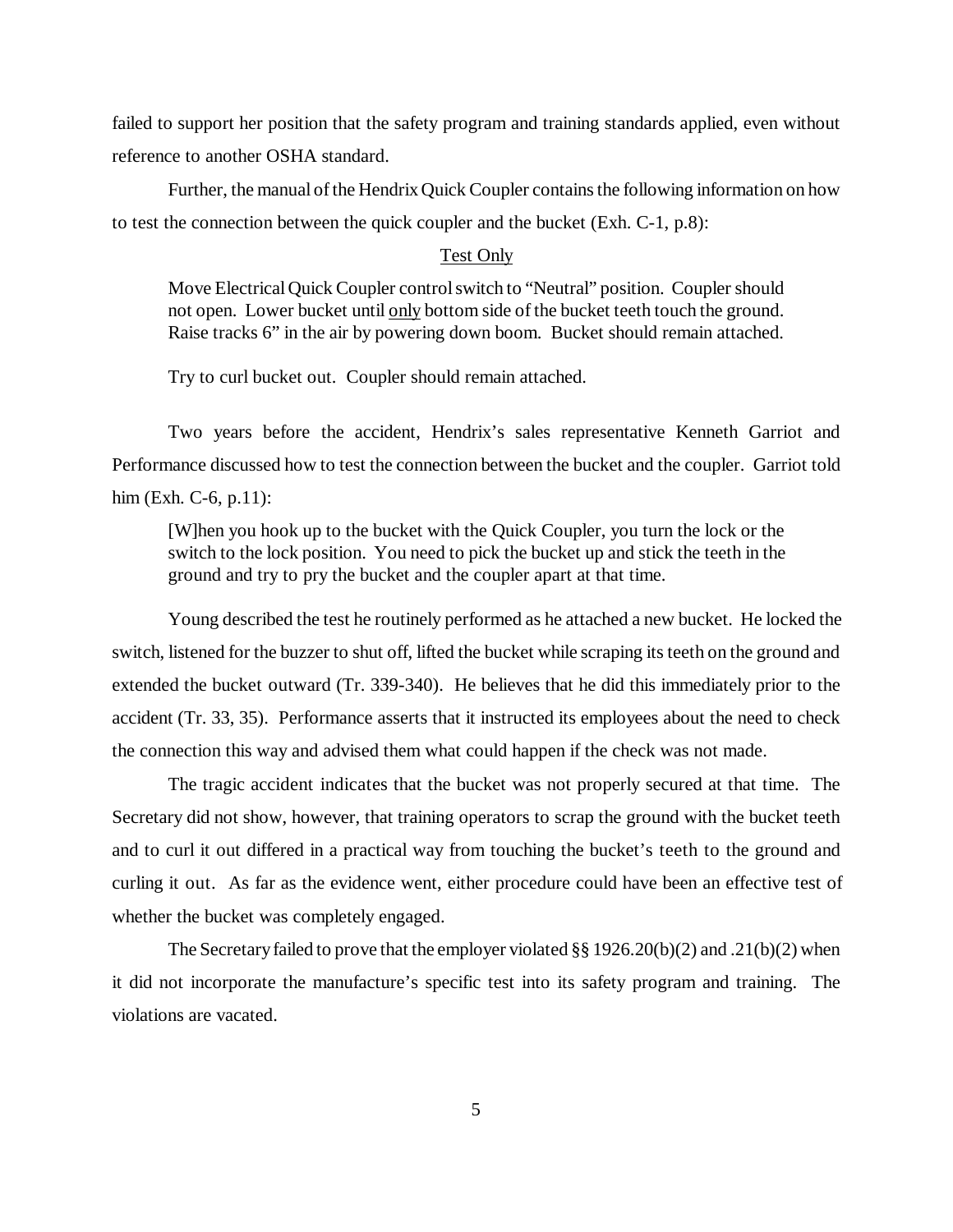failed to support her position that the safety program and training standards applied, even without reference to another OSHA standard.

Further, the manual of the Hendrix Quick Coupler contains the following information on how to test the connection between the quick coupler and the bucket (Exh. C-1, p.8):

## Test Only

Move Electrical Quick Coupler control switch to "Neutral" position. Coupler should not open. Lower bucket until only bottom side of the bucket teeth touch the ground. Raise tracks 6" in the air by powering down boom. Bucket should remain attached.

Try to curl bucket out. Coupler should remain attached.

Two years before the accident, Hendrix's sales representative Kenneth Garriot and Performance discussed how to test the connection between the bucket and the coupler. Garriot told him (Exh. C-6, p.11):

[W]hen you hook up to the bucket with the Quick Coupler, you turn the lock or the switch to the lock position. You need to pick the bucket up and stick the teeth in the ground and try to pry the bucket and the coupler apart at that time.

Young described the test he routinely performed as he attached a new bucket. He locked the switch, listened for the buzzer to shut off, lifted the bucket while scraping its teeth on the ground and extended the bucket outward (Tr. 339-340). He believes that he did this immediately prior to the accident (Tr. 33, 35). Performance asserts that it instructed its employees about the need to check the connection this way and advised them what could happen if the check was not made.

The tragic accident indicates that the bucket was not properly secured at that time. The Secretary did not show, however, that training operators to scrap the ground with the bucket teeth and to curl it out differed in a practical way from touching the bucket's teeth to the ground and curling it out. As far as the evidence went, either procedure could have been an effective test of whether the bucket was completely engaged.

The Secretary failed to prove that the employer violated  $\S § 1926.20(b)(2)$  and .21(b)(2) when it did not incorporate the manufacture's specific test into its safety program and training. The violations are vacated.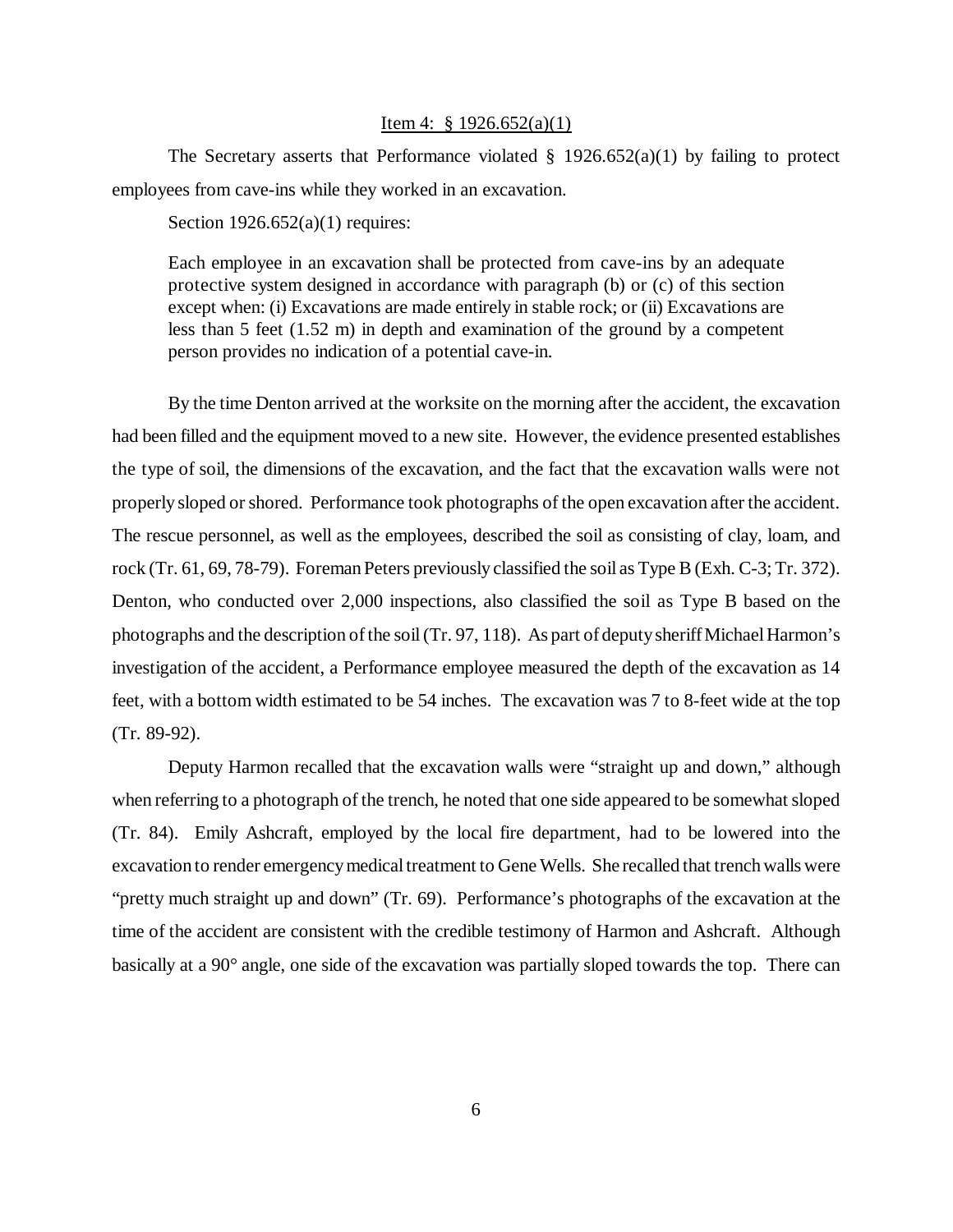### Item 4: § 1926.652(a)(1)

The Secretary asserts that Performance violated  $\S$  1926.652(a)(1) by failing to protect employees from cave-ins while they worked in an excavation.

Section 1926.652(a)(1) requires:

Each employee in an excavation shall be protected from cave-ins by an adequate protective system designed in accordance with paragraph (b) or (c) of this section except when: (i) Excavations are made entirely in stable rock; or (ii) Excavations are less than 5 feet (1.52 m) in depth and examination of the ground by a competent person provides no indication of a potential cave-in.

By the time Denton arrived at the worksite on the morning after the accident, the excavation had been filled and the equipment moved to a new site. However, the evidence presented establishes the type of soil, the dimensions of the excavation, and the fact that the excavation walls were not properly sloped or shored. Performance took photographs of the open excavation after the accident. The rescue personnel, as well as the employees, described the soil as consisting of clay, loam, and rock (Tr. 61, 69, 78-79). Foreman Peters previously classified the soil as Type B (Exh. C-3; Tr. 372). Denton, who conducted over 2,000 inspections, also classified the soil as Type B based on the photographs and the description of the soil (Tr. 97, 118). As part of deputy sheriff Michael Harmon's investigation of the accident, a Performance employee measured the depth of the excavation as 14 feet, with a bottom width estimated to be 54 inches. The excavation was 7 to 8-feet wide at the top (Tr. 89-92).

Deputy Harmon recalled that the excavation walls were "straight up and down," although when referring to a photograph of the trench, he noted that one side appeared to be somewhat sloped (Tr. 84). Emily Ashcraft, employed by the local fire department, had to be lowered into the excavation to render emergency medical treatment to Gene Wells. She recalled that trench walls were "pretty much straight up and down" (Tr. 69). Performance's photographs of the excavation at the time of the accident are consistent with the credible testimony of Harmon and Ashcraft. Although basically at a 90° angle, one side of the excavation was partially sloped towards the top. There can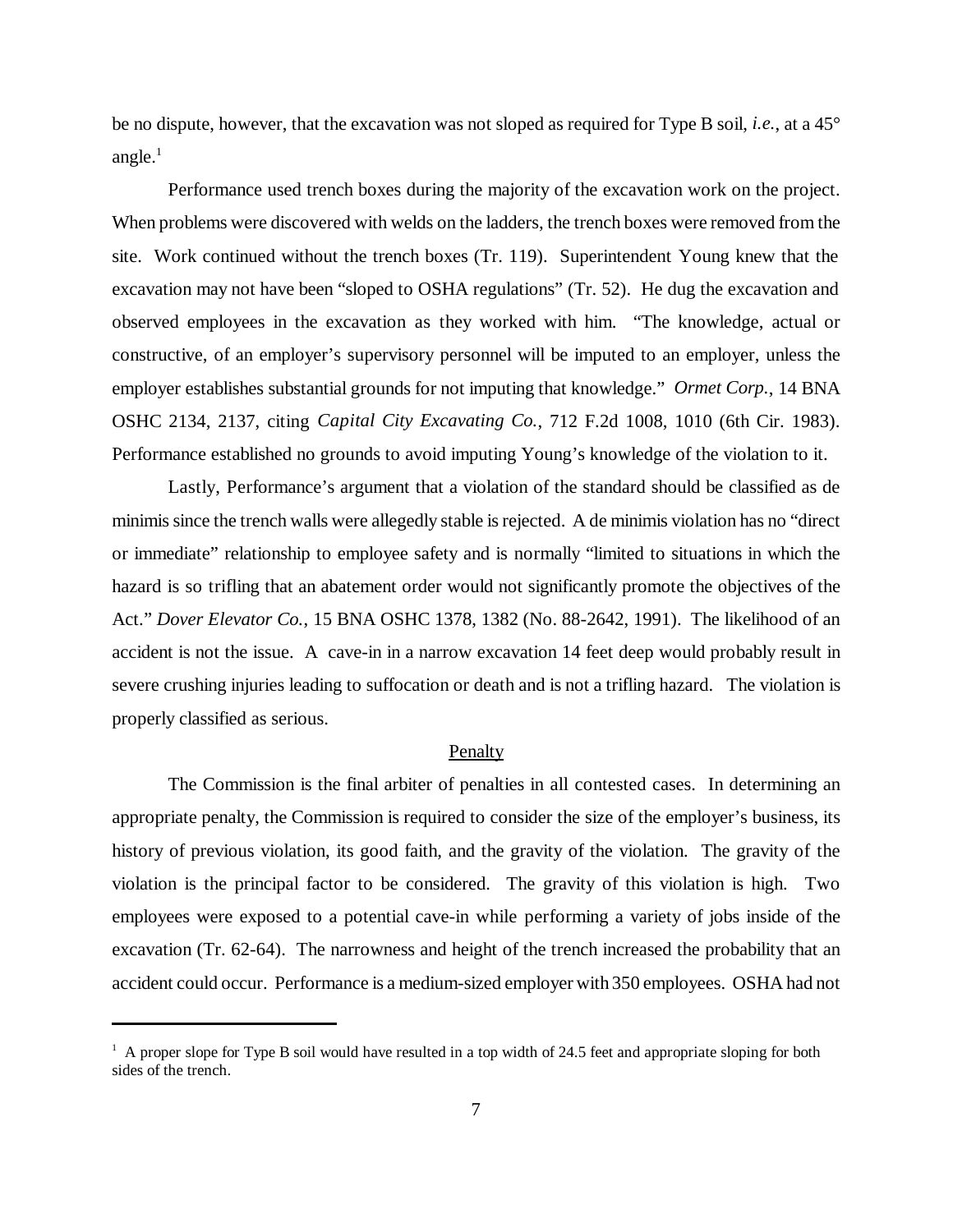be no dispute, however, that the excavation was not sloped as required for Type B soil, *i.e.*, at a 45° angle. $<sup>1</sup>$ </sup>

Performance used trench boxes during the majority of the excavation work on the project. When problems were discovered with welds on the ladders, the trench boxes were removed from the site. Work continued without the trench boxes (Tr. 119). Superintendent Young knew that the excavation may not have been "sloped to OSHA regulations" (Tr. 52). He dug the excavation and observed employees in the excavation as they worked with him. "The knowledge, actual or constructive, of an employer's supervisory personnel will be imputed to an employer, unless the employer establishes substantial grounds for not imputing that knowledge." *Ormet Corp.*, 14 BNA OSHC 2134, 2137, citing *Capital City Excavating Co.*, 712 F.2d 1008, 1010 (6th Cir. 1983). Performance established no grounds to avoid imputing Young's knowledge of the violation to it.

Lastly, Performance's argument that a violation of the standard should be classified as de minimis since the trench walls were allegedly stable is rejected. A de minimis violation has no "direct or immediate" relationship to employee safety and is normally "limited to situations in which the hazard is so trifling that an abatement order would not significantly promote the objectives of the Act." *Dover Elevator Co.*, 15 BNA OSHC 1378, 1382 (No. 88-2642, 1991). The likelihood of an accident is not the issue. A cave-in in a narrow excavation 14 feet deep would probably result in severe crushing injuries leading to suffocation or death and is not a trifling hazard. The violation is properly classified as serious.

#### Penalty

The Commission is the final arbiter of penalties in all contested cases. In determining an appropriate penalty, the Commission is required to consider the size of the employer's business, its history of previous violation, its good faith, and the gravity of the violation. The gravity of the violation is the principal factor to be considered. The gravity of this violation is high. Two employees were exposed to a potential cave-in while performing a variety of jobs inside of the excavation (Tr. 62-64). The narrowness and height of the trench increased the probability that an accident could occur. Performance is a medium-sized employer with 350 employees. OSHA had not

<sup>&</sup>lt;sup>1</sup> A proper slope for Type B soil would have resulted in a top width of 24.5 feet and appropriate sloping for both sides of the trench.